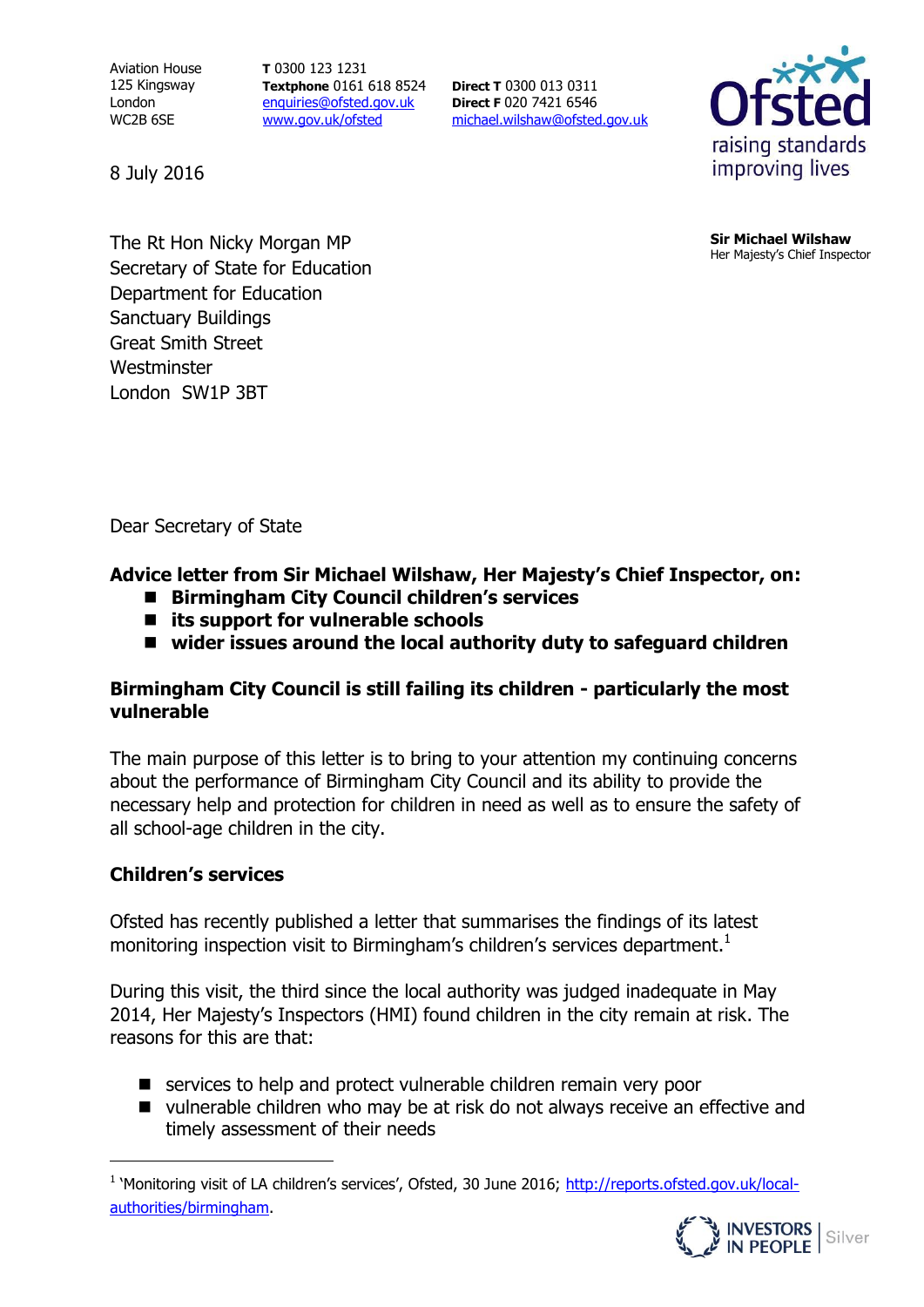Aviation House 125 Kingsway London WC2B 6SE

8 July 2016

**T** 0300 123 1231 **Textphone** 0161 618 8524 [enquiries@ofsted.gov.uk](mailto:enquiries@ofsted.gov.uk) [www.gov.uk/ofsted](http://www.gov.uk/ofsted)

**Direct T** 0300 013 0311 **Direct F** 020 7421 6546 [michael.wilshaw@ofsted.gov.uk](mailto:michael.wilshaw@ofsted.gov.uk)



**Sir Michael Wilshaw** Her Majesty's Chief Inspector

**Address** The Rt Hon Nicky Morgan MP **Address** Secretary of State for Education Department for Education Sanctuary Buildings Great Smith Street **Westminster** London SW1P 3BT

Dear Secretary of State

#### **Advice letter from Sir Michael Wilshaw, Her Majesty's Chief Inspector, on:**

- Birmingham City Council children's services
- **its support for vulnerable schools**
- wider issues around the local authority duty to safeguard children

## **Birmingham City Council is still failing its children - particularly the most vulnerable**

The main purpose of this letter is to bring to your attention my continuing concerns about the performance of Birmingham City Council and its ability to provide the necessary help and protection for children in need as well as to ensure the safety of all school-age children in the city.

### **Children's services**

 $\overline{a}$ 

Ofsted has recently published a letter that summarises the findings of its latest monitoring inspection visit to Birmingham's children's services department.<sup>1</sup>

During this visit, the third since the local authority was judged inadequate in May 2014, Her Majesty's Inspectors (HMI) found children in the city remain at risk. The reasons for this are that:

- services to help and protect vulnerable children remain very poor
- vulnerable children who may be at risk do not always receive an effective and timely assessment of their needs

<sup>&</sup>lt;sup>1</sup> 'Monitoring visit of LA children's services', Ofsted, 30 June 2016; [http://reports.ofsted.gov.uk/local](http://reports.ofsted.gov.uk/local-authorities/birmingham)[authorities/birmingham.](http://reports.ofsted.gov.uk/local-authorities/birmingham)

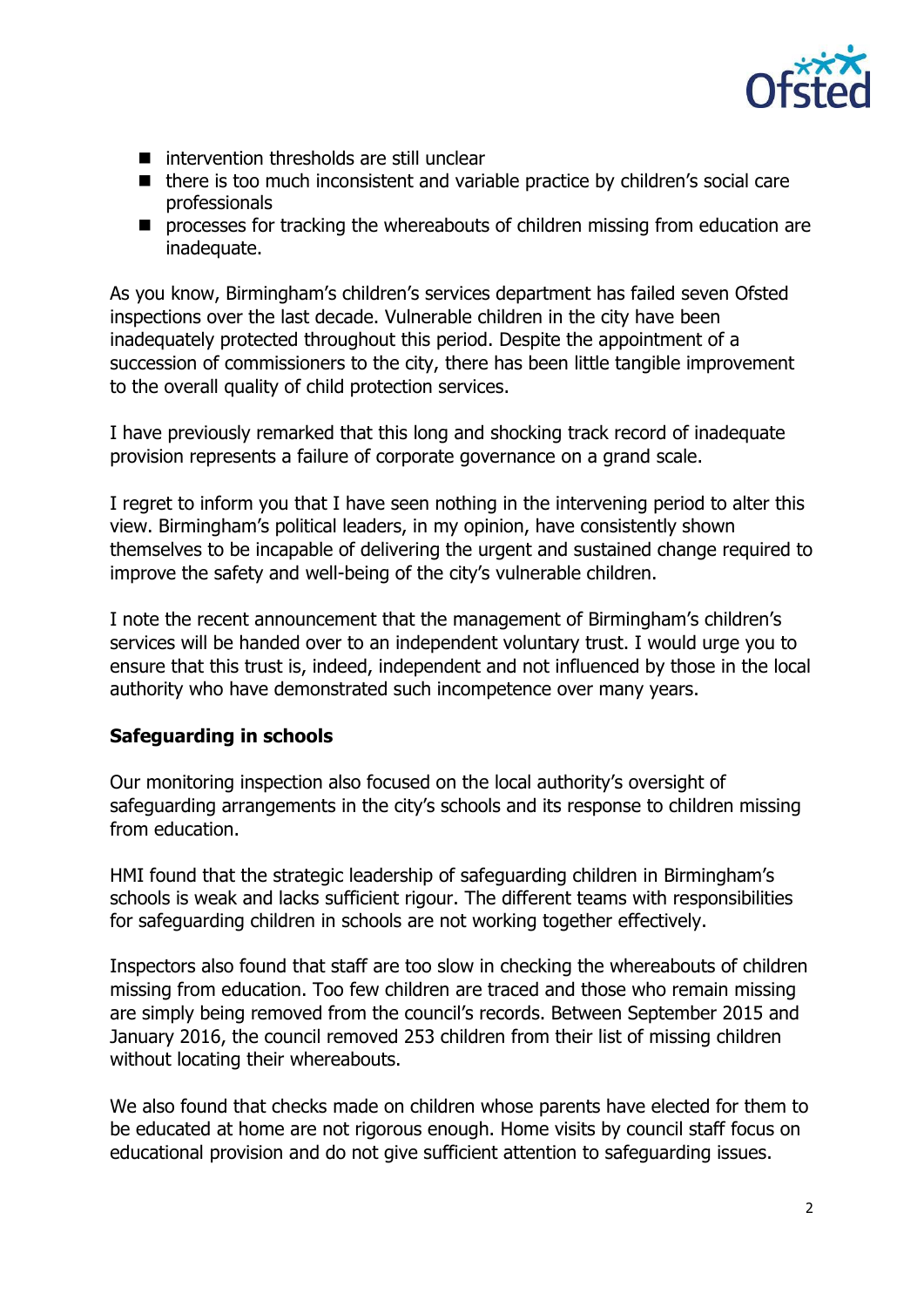

- $\blacksquare$  intervention thresholds are still unclear
- there is too much inconsistent and variable practice by children's social care professionals
- **P** processes for tracking the whereabouts of children missing from education are inadequate.

As you know, Birmingham's children's services department has failed seven Ofsted inspections over the last decade. Vulnerable children in the city have been inadequately protected throughout this period. Despite the appointment of a succession of commissioners to the city, there has been little tangible improvement to the overall quality of child protection services.

I have previously remarked that this long and shocking track record of inadequate provision represents a failure of corporate governance on a grand scale.

I regret to inform you that I have seen nothing in the intervening period to alter this view. Birmingham's political leaders, in my opinion, have consistently shown themselves to be incapable of delivering the urgent and sustained change required to improve the safety and well-being of the city's vulnerable children.

I note the recent announcement that the management of Birmingham's children's services will be handed over to an independent voluntary trust. I would urge you to ensure that this trust is, indeed, independent and not influenced by those in the local authority who have demonstrated such incompetence over many years.

### **Safeguarding in schools**

Our monitoring inspection also focused on the local authority's oversight of safeguarding arrangements in the city's schools and its response to children missing from education.

HMI found that the strategic leadership of safeguarding children in Birmingham's schools is weak and lacks sufficient rigour. The different teams with responsibilities for safeguarding children in schools are not working together effectively.

Inspectors also found that staff are too slow in checking the whereabouts of children missing from education. Too few children are traced and those who remain missing are simply being removed from the council's records. Between September 2015 and January 2016, the council removed 253 children from their list of missing children without locating their whereabouts.

We also found that checks made on children whose parents have elected for them to be educated at home are not rigorous enough. Home visits by council staff focus on educational provision and do not give sufficient attention to safeguarding issues.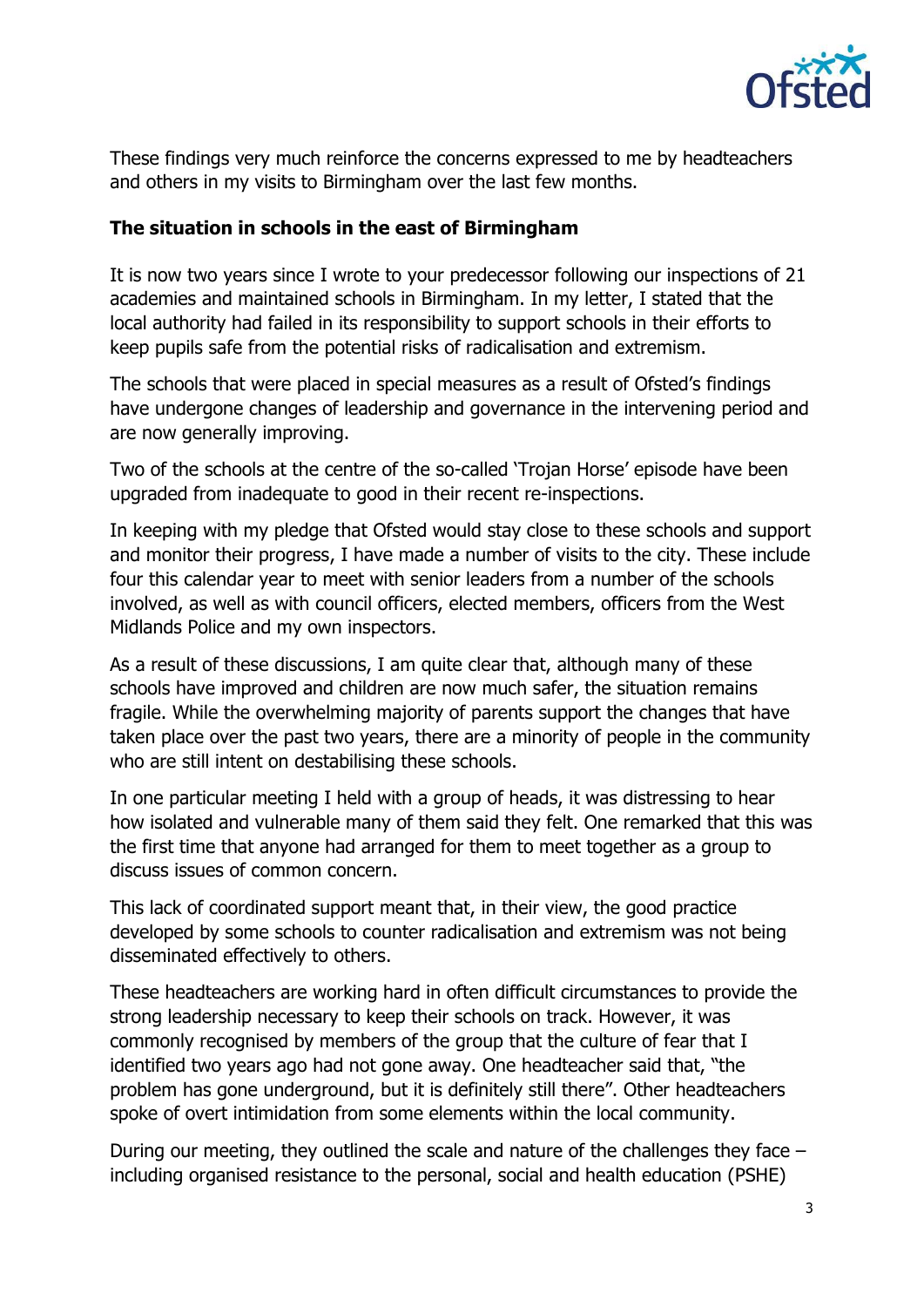

These findings very much reinforce the concerns expressed to me by headteachers and others in my visits to Birmingham over the last few months.

#### **The situation in schools in the east of Birmingham**

It is now two years since I wrote to your predecessor following our inspections of 21 academies and maintained schools in Birmingham. In my letter, I stated that the local authority had failed in its responsibility to support schools in their efforts to keep pupils safe from the potential risks of radicalisation and extremism.

The schools that were placed in special measures as a result of Ofsted's findings have undergone changes of leadership and governance in the intervening period and are now generally improving.

Two of the schools at the centre of the so-called 'Trojan Horse' episode have been upgraded from inadequate to good in their recent re-inspections.

In keeping with my pledge that Ofsted would stay close to these schools and support and monitor their progress, I have made a number of visits to the city. These include four this calendar year to meet with senior leaders from a number of the schools involved, as well as with council officers, elected members, officers from the West Midlands Police and my own inspectors.

As a result of these discussions, I am quite clear that, although many of these schools have improved and children are now much safer, the situation remains fragile. While the overwhelming majority of parents support the changes that have taken place over the past two years, there are a minority of people in the community who are still intent on destabilising these schools.

In one particular meeting I held with a group of heads, it was distressing to hear how isolated and vulnerable many of them said they felt. One remarked that this was the first time that anyone had arranged for them to meet together as a group to discuss issues of common concern.

This lack of coordinated support meant that, in their view, the good practice developed by some schools to counter radicalisation and extremism was not being disseminated effectively to others.

These headteachers are working hard in often difficult circumstances to provide the strong leadership necessary to keep their schools on track. However, it was commonly recognised by members of the group that the culture of fear that I identified two years ago had not gone away. One headteacher said that, "the problem has gone underground, but it is definitely still there". Other headteachers spoke of overt intimidation from some elements within the local community.

During our meeting, they outlined the scale and nature of the challenges they face – including organised resistance to the personal, social and health education (PSHE)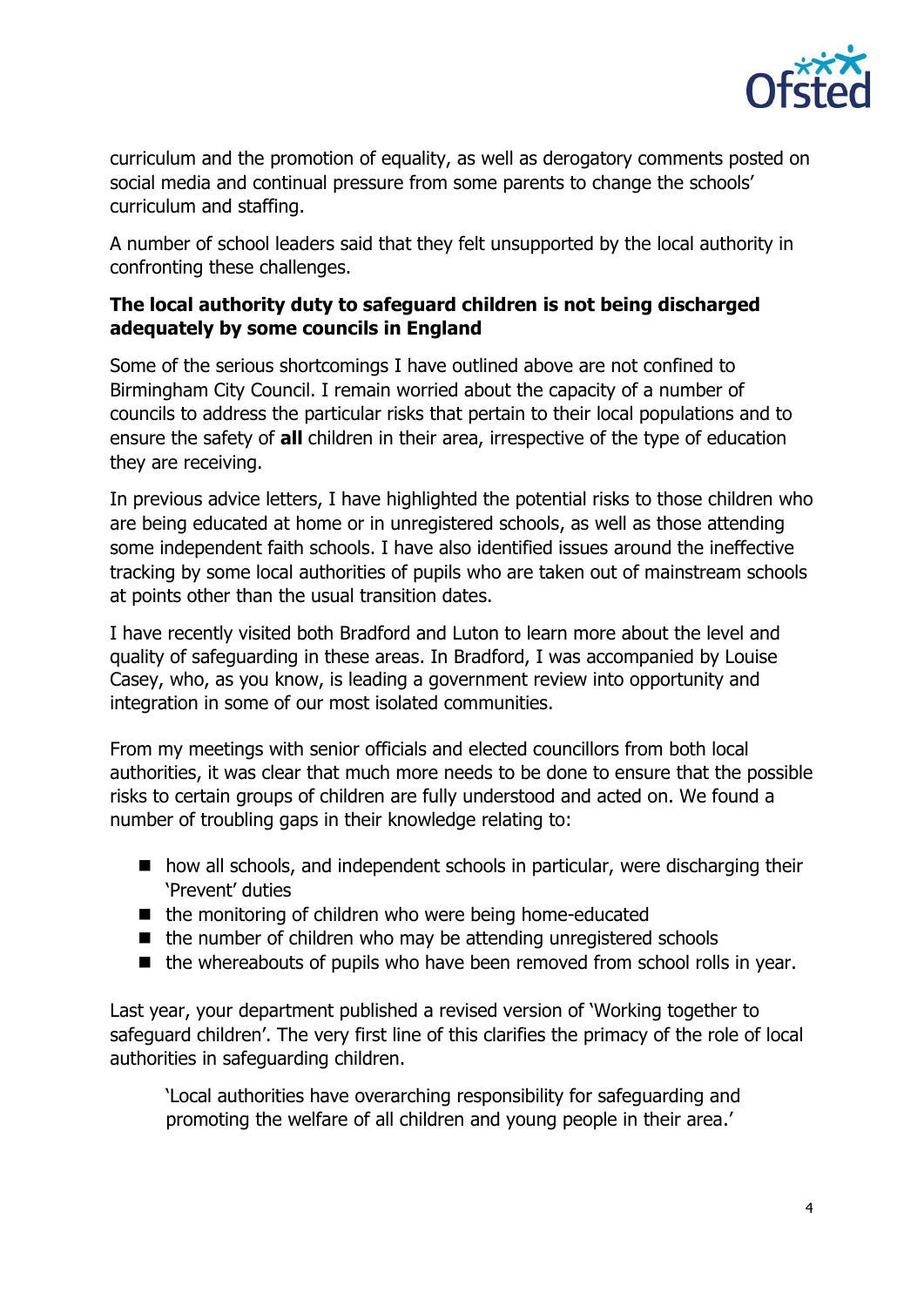

curriculum and the promotion of equality, as well as derogatory comments posted on social media and continual pressure from some parents to change the schools' curriculum and staffing.

A number of school leaders said that they felt unsupported by the local authority in confronting these challenges.

# **The local authority duty to safeguard children is not being discharged adequately by some councils in England**

Some of the serious shortcomings I have outlined above are not confined to Birmingham City Council. I remain worried about the capacity of a number of councils to address the particular risks that pertain to their local populations and to ensure the safety of **all** children in their area, irrespective of the type of education they are receiving.

In previous advice letters, I have highlighted the potential risks to those children who are being educated at home or in unregistered schools, as well as those attending some independent faith schools. I have also identified issues around the ineffective tracking by some local authorities of pupils who are taken out of mainstream schools at points other than the usual transition dates.

I have recently visited both Bradford and Luton to learn more about the level and quality of safeguarding in these areas. In Bradford, I was accompanied by Louise Casey, who, as you know, is leading a government review into opportunity and integration in some of our most isolated communities.

From my meetings with senior officials and elected councillors from both local authorities, it was clear that much more needs to be done to ensure that the possible risks to certain groups of children are fully understood and acted on. We found a number of troubling gaps in their knowledge relating to:

- how all schools, and independent schools in particular, were discharging their 'Prevent' duties
- $\blacksquare$  the monitoring of children who were being home-educated
- the number of children who may be attending unregistered schools
- the whereabouts of pupils who have been removed from school rolls in year.

Last year, your department published a revised version of 'Working together to safeguard children'. The very first line of this clarifies the primacy of the role of local authorities in safeguarding children.

'Local authorities have overarching responsibility for safeguarding and promoting the welfare of all children and young people in their area.'